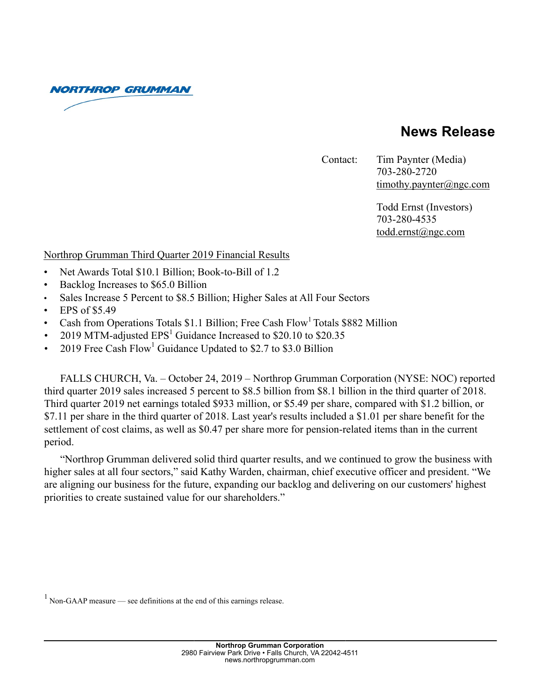**NORTHROP GRUMMAN** 

# **News Release**

Contact: Tim Paynter (Media)

 703-280-2720 timothy.paynter@ngc.com

 Todd Ernst (Investors) 703-280-4535 todd.ernst@ngc.com

# Northrop Grumman Third Quarter 2019 Financial Results

- Net Awards Total \$10.1 Billion; Book-to-Bill of 1.2
- Backlog Increases to \$65.0 Billion
- Sales Increase 5 Percent to \$8.5 Billion; Higher Sales at All Four Sectors
- EPS of \$5.49
- Cash from Operations Totals \$1.1 Billion; Free Cash Flow<sup>1</sup> Totals \$882 Million
- 2019 MTM-adjusted  $EPS<sup>1</sup>$  Guidance Increased to \$20.10 to \$20.35
- 2019 Free Cash  $Flow<sup>1</sup>$  Guidance Updated to \$2.7 to \$3.0 Billion

FALLS CHURCH, Va. – October 24, 2019 – Northrop Grumman Corporation (NYSE: NOC) reported third quarter 2019 sales increased 5 percent to \$8.5 billion from \$8.1 billion in the third quarter of 2018. Third quarter 2019 net earnings totaled \$933 million, or \$5.49 per share, compared with \$1.2 billion, or \$7.11 per share in the third quarter of 2018. Last year's results included a \$1.01 per share benefit for the settlement of cost claims, as well as \$0.47 per share more for pension-related items than in the current period.

"Northrop Grumman delivered solid third quarter results, and we continued to grow the business with higher sales at all four sectors," said Kathy Warden, chairman, chief executive officer and president. "We are aligning our business for the future, expanding our backlog and delivering on our customers' highest priorities to create sustained value for our shareholders."

 $1$  Non-GAAP measure — see definitions at the end of this earnings release.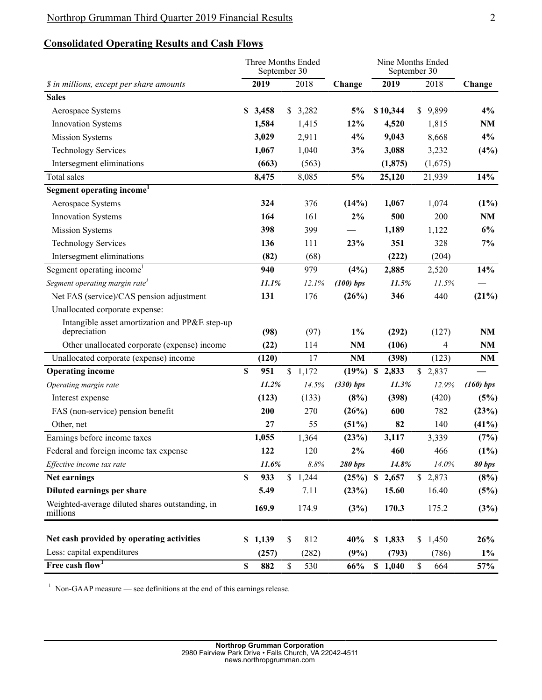# **Consolidated Operating Results and Cash Flows**

|                                                                | Three Months Ended<br>September 30 |       |      |         |                   | Nine Months Ended<br>September 30 |          |              |         |               |  |
|----------------------------------------------------------------|------------------------------------|-------|------|---------|-------------------|-----------------------------------|----------|--------------|---------|---------------|--|
| \$ in millions, except per share amounts                       | 2019                               |       | 2018 | Change  |                   | 2019                              |          | 2018         | Change  |               |  |
| <b>Sales</b>                                                   |                                    |       |      |         |                   |                                   |          |              |         |               |  |
| Aerospace Systems                                              | S.                                 | 3,458 |      | \$3,282 | 5%                |                                   | \$10,344 | $\mathbb{S}$ | 9,899   | 4%            |  |
| <b>Innovation Systems</b>                                      |                                    | 1,584 |      | 1,415   | 12%               |                                   | 4,520    |              | 1,815   | NM            |  |
| <b>Mission Systems</b>                                         |                                    | 3,029 |      | 2,911   | 4%                |                                   | 9,043    |              | 8,668   | 4%            |  |
| <b>Technology Services</b>                                     |                                    | 1,067 |      | 1,040   | 3%                |                                   | 3,088    |              | 3,232   | (4%)          |  |
| Intersegment eliminations                                      |                                    | (663) |      | (563)   |                   |                                   | (1, 875) |              | (1,675) |               |  |
| Total sales                                                    |                                    | 8,475 |      | 8,085   | 5%                |                                   | 25,120   |              | 21,939  | 14%           |  |
| Segment operating income <sup>1</sup>                          |                                    |       |      |         |                   |                                   |          |              |         |               |  |
| Aerospace Systems                                              |                                    | 324   |      | 376     | (14%)             |                                   | 1,067    |              | 1,074   | $(1\%)$       |  |
| <b>Innovation Systems</b>                                      |                                    | 164   |      | 161     | 2%                |                                   | 500      |              | 200     | NM            |  |
| <b>Mission Systems</b>                                         |                                    | 398   |      | 399     |                   |                                   | 1,189    |              | 1,122   | 6%            |  |
| <b>Technology Services</b>                                     |                                    | 136   |      | 111     | 23%               |                                   | 351      |              | 328     | 7%            |  |
| Intersegment eliminations                                      |                                    | (82)  |      | (68)    |                   |                                   | (222)    |              | (204)   |               |  |
| Segment operating income <sup>1</sup>                          |                                    | 940   |      | 979     | $(4\%)$           |                                   | 2,885    |              | 2,520   | 14%           |  |
| Segment operating margin rate <sup>1</sup>                     |                                    | 11.1% |      | 12.1%   | $(100)$ bps       |                                   | 11.5%    |              | 11.5%   |               |  |
| Net FAS (service)/CAS pension adjustment                       |                                    | 131   |      | 176     | (26%)             |                                   | 346      |              | 440     | (21%)         |  |
| Unallocated corporate expense:                                 |                                    |       |      |         |                   |                                   |          |              |         |               |  |
| Intangible asset amortization and PP&E step-up<br>depreciation |                                    | (98)  |      | (97)    | $1\%$             |                                   | (292)    |              | (127)   | NM            |  |
| Other unallocated corporate (expense) income                   |                                    | (22)  |      | 114     | NM                |                                   | (106)    |              | 4       | NM            |  |
| Unallocated corporate (expense) income                         |                                    | (120) |      | 17      | NM                |                                   | (398)    |              | (123)   | NM            |  |
| <b>Operating income</b>                                        | \$                                 | 951   |      | \$1,172 | $(19\%)$ \$ 2,833 |                                   |          |              | \$2,837 |               |  |
| Operating margin rate                                          |                                    | 11.2% |      | 14.5%   | (330) bps         |                                   | 11.3%    |              | 12.9%   | (160) bps     |  |
| Interest expense                                               |                                    | (123) |      | (133)   | (8%)              |                                   | (398)    |              | (420)   | (5%)          |  |
| FAS (non-service) pension benefit                              |                                    | 200   |      | 270     | (26%)             |                                   | 600      |              | 782     | (23%)         |  |
| Other, net                                                     |                                    | 27    |      | 55      | (51%)             |                                   | 82       |              | 140     | (41%)         |  |
| Earnings before income taxes                                   |                                    | 1,055 |      | 1,364   | (23%)             |                                   | 3,117    |              | 3,339   | (7%)          |  |
| Federal and foreign income tax expense                         |                                    | 122   |      | 120     | 2%                |                                   | 460      |              | 466     | (1%)          |  |
| Effective income tax rate                                      |                                    | 11.6% |      | 8.8%    | <b>280 bps</b>    |                                   | 14.8%    |              | 14.0%   | <b>80 bps</b> |  |
| Net earnings                                                   | \$                                 | 933   |      | \$1,244 | $(25\%)$ \$ 2,657 |                                   |          |              | \$2,873 | (8%)          |  |
| Diluted earnings per share                                     |                                    | 5.49  |      | 7.11    | (23%)             |                                   | 15.60    |              | 16.40   | (5%)          |  |
| Weighted-average diluted shares outstanding, in<br>millions    |                                    | 169.9 |      | 174.9   | (3%)              |                                   | 170.3    |              | 175.2   | (3%)          |  |
| Net cash provided by operating activities                      | \$                                 | 1,139 | \$   | 812     | 40%               |                                   | \$1,833  | \$           | 1,450   | 26%           |  |
| Less: capital expenditures                                     |                                    | (257) |      | (282)   | (9%)              |                                   | (793)    |              | (786)   | $1\%$         |  |
| Free cash flow <sup>1</sup>                                    | \$                                 | 882   | \$   | 530     | 66%               |                                   | \$1,040  | \$           | 664     | 57%           |  |

 $1$  Non-GAAP measure — see definitions at the end of this earnings release.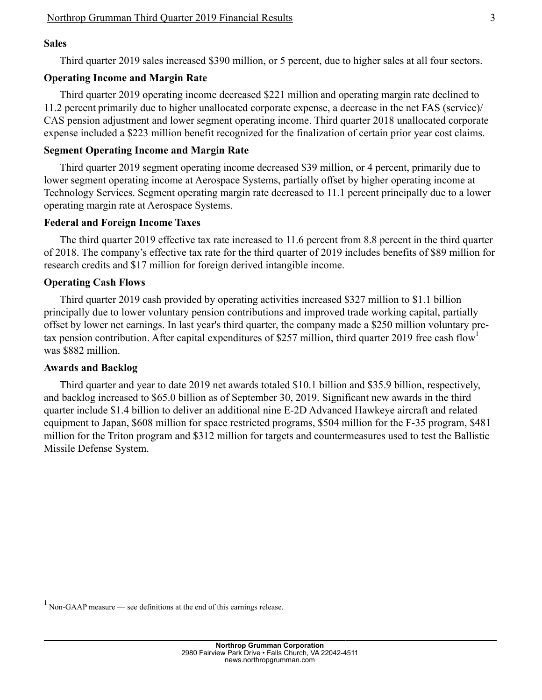### **Sales**

Third quarter 2019 sales increased \$390 million, or 5 percent, due to higher sales at all four sectors.

### **Operating Income and Margin Rate**

Third quarter 2019 operating income decreased \$221 million and operating margin rate declined to 11.2 percent primarily due to higher unallocated corporate expense, a decrease in the net FAS (service)/ CAS pension adjustment and lower segment operating income. Third quarter 2018 unallocated corporate expense included a \$223 million benefit recognized for the finalization of certain prior year cost claims.

### **Segment Operating Income and Margin Rate**

Third quarter 2019 segment operating income decreased \$39 million, or 4 percent, primarily due to lower segment operating income at Aerospace Systems, partially offset by higher operating income at Technology Services. Segment operating margin rate decreased to 11.1 percent principally due to a lower operating margin rate at Aerospace Systems.

#### **Federal and Foreign Income Taxes**

The third quarter 2019 effective tax rate increased to 11.6 percent from 8.8 percent in the third quarter of 2018. The company's effective tax rate for the third quarter of 2019 includes benefits of \$89 million for research credits and \$17 million for foreign derived intangible income.

#### **Operating Cash Flows**

Third quarter 2019 cash provided by operating activities increased \$327 million to \$1.1 billion principally due to lower voluntary pension contributions and improved trade working capital, partially offset by lower net earnings. In last year's third quarter, the company made a \$250 million voluntary pretax pension contribution. After capital expenditures of \$257 million, third quarter 2019 free cash flow<sup>1</sup> was \$882 million.

#### **Awards and Backlog**

Third quarter and year to date 2019 net awards totaled \$10.1 billion and \$35.9 billion, respectively, and backlog increased to \$65.0 billion as of September 30, 2019. Significant new awards in the third quarter include \$1.4 billion to deliver an additional nine E-2D Advanced Hawkeye aircraft and related equipment to Japan, \$608 million for space restricted programs, \$504 million for the F-35 program, \$481 million for the Triton program and \$312 million for targets and countermeasures used to test the Ballistic Missile Defense System.

 $1$  Non-GAAP measure — see definitions at the end of this earnings release.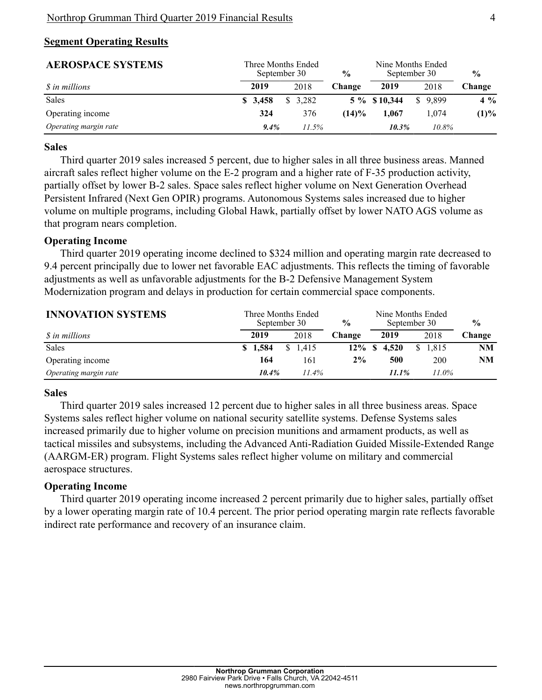# **Segment Operating Results**

| <b>AEROSPACE SYSTEMS</b> | Three Months Ended<br>September 30 | $\frac{6}{6}$ | Nine Months Ended<br>September 30 | $\frac{0}{0}$ |         |         |
|--------------------------|------------------------------------|---------------|-----------------------------------|---------------|---------|---------|
| <i>S</i> in millions     | 2019                               | 2018          | Change                            | 2019          | 2018    | Change  |
| Sales                    | \$3,458                            | \$3.282       |                                   | 5 % \$10,344  | \$9.899 | $4\%$   |
| Operating income         | 324                                | 376           | (14)%                             | 1.067         | 1.074   | $(1)\%$ |
| Operating margin rate    | 9.4%                               | 11.5%         |                                   | 10.3%         | 10.8%   |         |

### **Sales**

Third quarter 2019 sales increased 5 percent, due to higher sales in all three business areas. Manned aircraft sales reflect higher volume on the E-2 program and a higher rate of F-35 production activity, partially offset by lower B-2 sales. Space sales reflect higher volume on Next Generation Overhead Persistent Infrared (Next Gen OPIR) programs. Autonomous Systems sales increased due to higher volume on multiple programs, including Global Hawk, partially offset by lower NATO AGS volume as that program nears completion.

### **Operating Income**

Third quarter 2019 operating income declined to \$324 million and operating margin rate decreased to 9.4 percent principally due to lower net favorable EAC adjustments. This reflects the timing of favorable adjustments as well as unfavorable adjustments for the B-2 Defensive Management System Modernization program and delays in production for certain commercial space components.

| <b>INNOVATION SYSTEMS</b> |         | Three Months Ended<br>September 30 | $\frac{6}{9}$ | Nine Months Ended<br>September 30 | $\frac{6}{9}$ |           |  |
|---------------------------|---------|------------------------------------|---------------|-----------------------------------|---------------|-----------|--|
| <i>S</i> in millions      | 2019    | 2018<br>Change                     |               | 2019                              | 2018          | Change    |  |
| <b>Sales</b>              | \$1.584 | S.<br>1.415                        | $12\%$ \$     | 4.520                             | \$1.815       | <b>NM</b> |  |
| Operating income          | 164     | 161                                | $2\%$         | 500                               | <b>200</b>    | NΜ        |  |
| Operating margin rate     | 10.4%   | $11.4\%$                           |               | 11.1%                             | 11.0%         |           |  |

#### **Sales**

Third quarter 2019 sales increased 12 percent due to higher sales in all three business areas. Space Systems sales reflect higher volume on national security satellite systems. Defense Systems sales increased primarily due to higher volume on precision munitions and armament products, as well as tactical missiles and subsystems, including the Advanced Anti-Radiation Guided Missile-Extended Range (AARGM-ER) program. Flight Systems sales reflect higher volume on military and commercial aerospace structures.

# **Operating Income**

Third quarter 2019 operating income increased 2 percent primarily due to higher sales, partially offset by a lower operating margin rate of 10.4 percent. The prior period operating margin rate reflects favorable indirect rate performance and recovery of an insurance claim.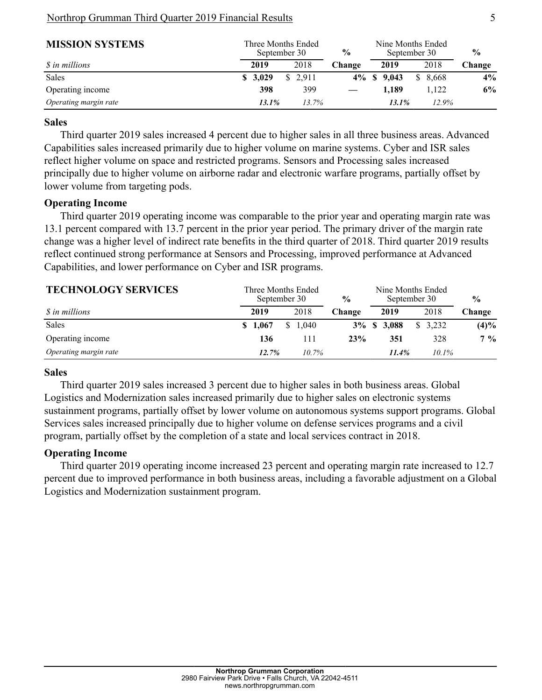### Northrop Grumman Third Quarter 2019 Financial Results 5

| <b>MISSION SYSTEMS</b> | Three Months Ended<br>September 30 |          | $\frac{0}{0}$ | Nine Months Ended<br>September 30 |                        | $\frac{6}{9}$ |  |
|------------------------|------------------------------------|----------|---------------|-----------------------------------|------------------------|---------------|--|
| <i>S</i> in millions   | 2019                               | 2018     | Change        | 2019                              | 2018                   | Change        |  |
| <b>Sales</b>           | \$3,029                            | \$ 2.911 |               | $4\%$ \$ $9.043$                  | 8.668<br><sup>\$</sup> | $4\%$         |  |
| Operating income       | 398                                | 399      |               | 1.189                             | 1.122                  | 6%            |  |
| Operating margin rate  | 13.1%                              | 13.7%    |               | 13.1%                             | 12.9%                  |               |  |

# **Sales**

Third quarter 2019 sales increased 4 percent due to higher sales in all three business areas. Advanced Capabilities sales increased primarily due to higher volume on marine systems. Cyber and ISR sales reflect higher volume on space and restricted programs. Sensors and Processing sales increased principally due to higher volume on airborne radar and electronic warfare programs, partially offset by lower volume from targeting pods.

# **Operating Income**

Third quarter 2019 operating income was comparable to the prior year and operating margin rate was 13.1 percent compared with 13.7 percent in the prior year period. The primary driver of the margin rate change was a higher level of indirect rate benefits in the third quarter of 2018. Third quarter 2019 results reflect continued strong performance at Sensors and Processing, improved performance at Advanced Capabilities, and lower performance on Cyber and ISR programs.

| <b>TECHNOLOGY SERVICES</b> |         | Three Months Ended<br>September 30 | $\frac{6}{9}$ |                     | Nine Months Ended<br>September 30 | $\frac{0}{0}$ |  |
|----------------------------|---------|------------------------------------|---------------|---------------------|-----------------------------------|---------------|--|
| <i>S</i> in millions       | 2019    | 2018                               | Change        | 2019                | 2018                              | Change        |  |
| <b>Sales</b>               | \$1.067 | \$1.040                            |               | $3\% \t S \t 3,088$ | \$3.232                           | (4)%          |  |
| Operating income           | 136     | 111                                | 23%           | 351                 | 328                               | $7\%$         |  |
| Operating margin rate      | 12.7%   | $10.7\%$                           |               | 11.4%               | $10.1\%$                          |               |  |

# **Sales**

Third quarter 2019 sales increased 3 percent due to higher sales in both business areas. Global Logistics and Modernization sales increased primarily due to higher sales on electronic systems sustainment programs, partially offset by lower volume on autonomous systems support programs. Global Services sales increased principally due to higher volume on defense services programs and a civil program, partially offset by the completion of a state and local services contract in 2018.

# **Operating Income**

Third quarter 2019 operating income increased 23 percent and operating margin rate increased to 12.7 percent due to improved performance in both business areas, including a favorable adjustment on a Global Logistics and Modernization sustainment program.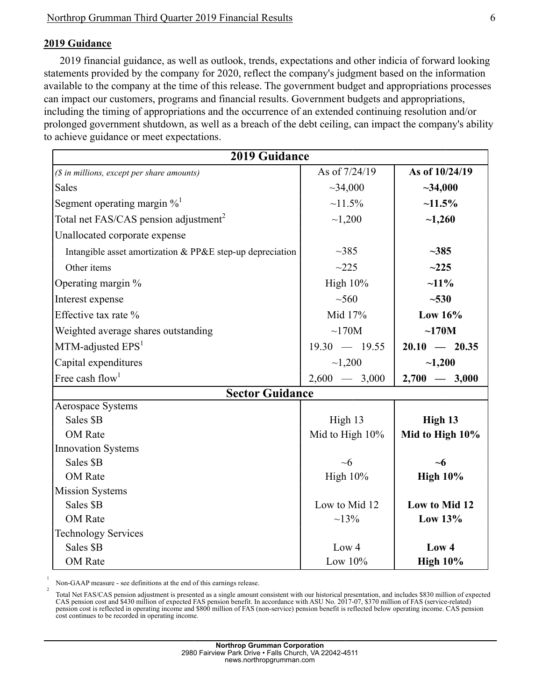# **2019 Guidance**

2019 financial guidance, as well as outlook, trends, expectations and other indicia of forward looking statements provided by the company for 2020, reflect the company's judgment based on the information available to the company at the time of this release. The government budget and appropriations processes can impact our customers, programs and financial results. Government budgets and appropriations, including the timing of appropriations and the occurrence of an extended continuing resolution and/or prolonged government shutdown, as well as a breach of the debt ceiling, can impact the company's ability to achieve guidance or meet expectations.

|                                                           | <b>2019 Guidance</b> |                 |  |  |  |  |  |  |  |
|-----------------------------------------------------------|----------------------|-----------------|--|--|--|--|--|--|--|
| (\$ in millions, except per share amounts)                | As of 7/24/19        | As of 10/24/19  |  |  |  |  |  |  |  |
| <b>Sales</b>                                              | ~1,000               | $-34,000$       |  |  |  |  |  |  |  |
| Segment operating margin $\%$ <sup>1</sup>                | $~11.5\%$            | $~11.5\%$       |  |  |  |  |  |  |  |
| Total net FAS/CAS pension adjustment <sup>2</sup>         | ~1,200               | $-1,260$        |  |  |  |  |  |  |  |
| Unallocated corporate expense                             |                      |                 |  |  |  |  |  |  |  |
| Intangible asset amortization & PP&E step-up depreciation | $\sim$ 385           | $-385$          |  |  |  |  |  |  |  |
| Other items                                               | ~2225                | ~225            |  |  |  |  |  |  |  |
| Operating margin %                                        | High $10\%$          | $~11\%$         |  |  |  |  |  |  |  |
| Interest expense                                          | $\sim 560$           | $-530$          |  |  |  |  |  |  |  |
| Effective tax rate %                                      | Mid 17%              | Low $16\%$      |  |  |  |  |  |  |  |
| Weighted average shares outstanding                       | $\sim$ 170M          | ~170M           |  |  |  |  |  |  |  |
| $MTM$ -adjusted $EPS1$                                    | $19.30 - 19.55$      | $20.10 - 20.35$ |  |  |  |  |  |  |  |
| Capital expenditures                                      | ~1,200               | $-1,200$        |  |  |  |  |  |  |  |
| Free cash flow <sup>1</sup>                               | $2,600 - 3,000$      | $2,700 - 3,000$ |  |  |  |  |  |  |  |
| <b>Sector Guidance</b>                                    |                      |                 |  |  |  |  |  |  |  |
| Aerospace Systems                                         |                      |                 |  |  |  |  |  |  |  |
| Sales \$B                                                 | High 13              | High 13         |  |  |  |  |  |  |  |
| <b>OM</b> Rate                                            | Mid to High 10%      | Mid to High 10% |  |  |  |  |  |  |  |
| <b>Innovation Systems</b>                                 |                      |                 |  |  |  |  |  |  |  |
| Sales \$B                                                 | $\sim 6$             | $\sim$ 6        |  |  |  |  |  |  |  |
| <b>OM</b> Rate                                            | <b>High 10%</b>      | <b>High 10%</b> |  |  |  |  |  |  |  |
| <b>Mission Systems</b>                                    |                      |                 |  |  |  |  |  |  |  |
| Sales \$B                                                 | Low to Mid 12        | Low to Mid 12   |  |  |  |  |  |  |  |
| <b>OM</b> Rate                                            | $~13\%$              | Low $13%$       |  |  |  |  |  |  |  |
| <b>Technology Services</b>                                |                      |                 |  |  |  |  |  |  |  |
| Sales \$B                                                 | Low <sub>4</sub>     | Low 4           |  |  |  |  |  |  |  |
| <b>OM</b> Rate                                            | Low $10\%$           | <b>High 10%</b> |  |  |  |  |  |  |  |

Non-GAAP measure - see definitions at the end of this earnings release.

1

2

Total Net FAS/CAS pension adjustment is presented as a single amount consistent with our historical presentation, and includes \$830 million of expected CAS pension cost and \$430 million of expected FAS pension benefit. In accordance with ASU No. 2017-07, \$370 million of FAS (service-related) pension cost is reflected in operating income and \$800 million of FAS (non-service) pension benefit is reflected below operating income. CAS pension cost continues to be recorded in operating income.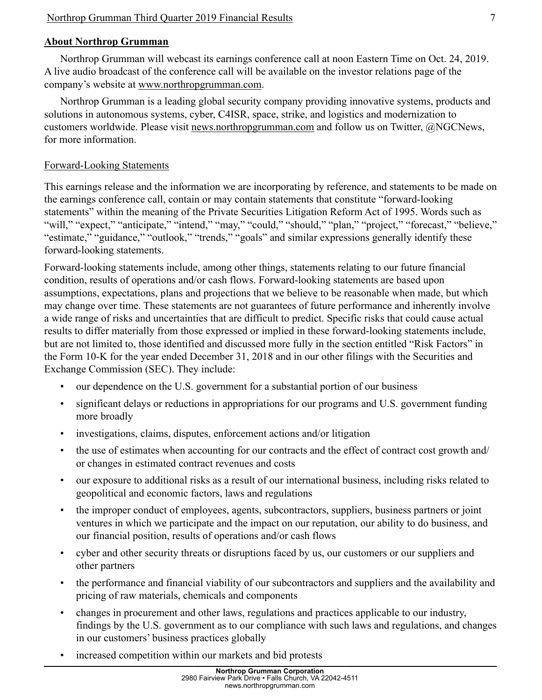# **About Northrop Grumman**

Northrop Grumman will webcast its earnings conference call at noon Eastern Time on Oct. 24, 2019. A live audio broadcast of the conference call will be available on the investor relations page of the company's website at www.northropgrumman.com.

Northrop Grumman is a leading global security company providing innovative systems, products and solutions in autonomous systems, cyber, C4ISR, space, strike, and logistics and modernization to customers worldwide. Please visit news.northropgrumman.com and follow us on Twitter, @NGCNews, for more information.

# Forward-Looking Statements

This earnings release and the information we are incorporating by reference, and statements to be made on the earnings conference call, contain or may contain statements that constitute "forward-looking statements" within the meaning of the Private Securities Litigation Reform Act of 1995. Words such as "will," "expect," "anticipate," "intend," "may," "could," "should," "plan," "project," "forecast," "believe," "estimate," "guidance," "outlook," "trends," "goals" and similar expressions generally identify these forward-looking statements.

Forward-looking statements include, among other things, statements relating to our future financial condition, results of operations and/or cash flows. Forward-looking statements are based upon assumptions, expectations, plans and projections that we believe to be reasonable when made, but which may change over time. These statements are not guarantees of future performance and inherently involve a wide range of risks and uncertainties that are difficult to predict. Specific risks that could cause actual results to differ materially from those expressed or implied in these forward-looking statements include, but are not limited to, those identified and discussed more fully in the section entitled "Risk Factors" in the Form 10-K for the year ended December 31, 2018 and in our other filings with the Securities and Exchange Commission (SEC). They include:

- our dependence on the U.S. government for a substantial portion of our business
- significant delays or reductions in appropriations for our programs and U.S. government funding more broadly
- investigations, claims, disputes, enforcement actions and/or litigation
- the use of estimates when accounting for our contracts and the effect of contract cost growth and/ or changes in estimated contract revenues and costs
- our exposure to additional risks as a result of our international business, including risks related to geopolitical and economic factors, laws and regulations
- the improper conduct of employees, agents, subcontractors, suppliers, business partners or joint ventures in which we participate and the impact on our reputation, our ability to do business, and our financial position, results of operations and/or cash flows
- cyber and other security threats or disruptions faced by us, our customers or our suppliers and other partners
- the performance and financial viability of our subcontractors and suppliers and the availability and pricing of raw materials, chemicals and components
- changes in procurement and other laws, regulations and practices applicable to our industry, findings by the U.S. government as to our compliance with such laws and regulations, and changes in our customers' business practices globally
- increased competition within our markets and bid protests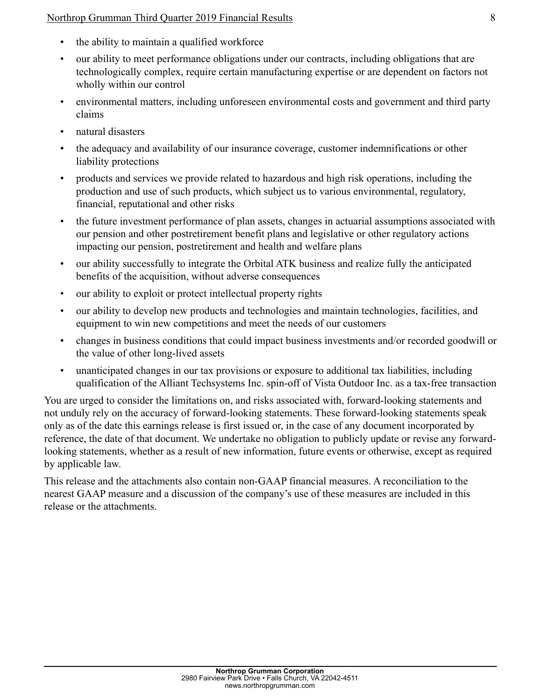### Northrop Grumman Third Quarter 2019 Financial Results 8

- the ability to maintain a qualified workforce
- our ability to meet performance obligations under our contracts, including obligations that are technologically complex, require certain manufacturing expertise or are dependent on factors not wholly within our control
- environmental matters, including unforeseen environmental costs and government and third party claims
- natural disasters
- the adequacy and availability of our insurance coverage, customer indemnifications or other liability protections
- products and services we provide related to hazardous and high risk operations, including the production and use of such products, which subject us to various environmental, regulatory, financial, reputational and other risks
- the future investment performance of plan assets, changes in actuarial assumptions associated with our pension and other postretirement benefit plans and legislative or other regulatory actions impacting our pension, postretirement and health and welfare plans
- our ability successfully to integrate the Orbital ATK business and realize fully the anticipated benefits of the acquisition, without adverse consequences
- our ability to exploit or protect intellectual property rights
- our ability to develop new products and technologies and maintain technologies, facilities, and equipment to win new competitions and meet the needs of our customers
- changes in business conditions that could impact business investments and/or recorded goodwill or the value of other long-lived assets
- unanticipated changes in our tax provisions or exposure to additional tax liabilities, including qualification of the Alliant Techsystems Inc. spin-off of Vista Outdoor Inc. as a tax-free transaction

You are urged to consider the limitations on, and risks associated with, forward-looking statements and not unduly rely on the accuracy of forward-looking statements. These forward-looking statements speak only as of the date this earnings release is first issued or, in the case of any document incorporated by reference, the date of that document. We undertake no obligation to publicly update or revise any forwardlooking statements, whether as a result of new information, future events or otherwise, except as required by applicable law.

This release and the attachments also contain non-GAAP financial measures. A reconciliation to the nearest GAAP measure and a discussion of the company's use of these measures are included in this release or the attachments.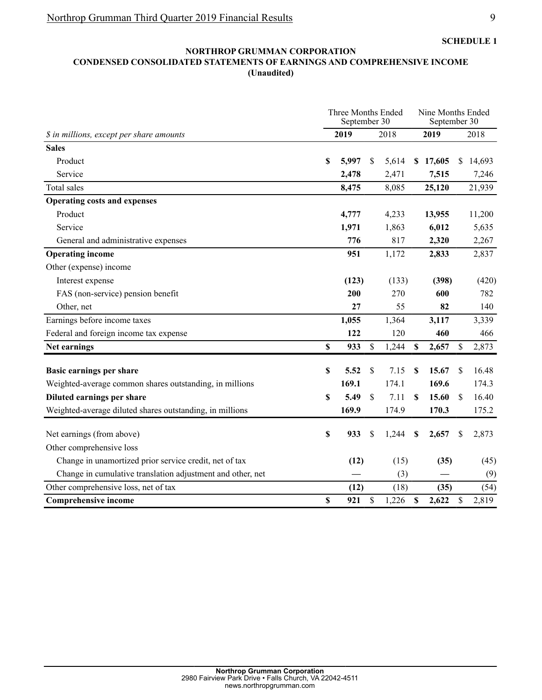#### **NORTHROP GRUMMAN CORPORATION CONDENSED CONSOLIDATED STATEMENTS OF EARNINGS AND COMPREHENSIVE INCOME (Unaudited)**

|                                                            |    | Three Months Ended<br>September 30 | Nine Months Ended<br>September 30 |       |    |          |              |        |
|------------------------------------------------------------|----|------------------------------------|-----------------------------------|-------|----|----------|--------------|--------|
| \$ in millions, except per share amounts                   |    | 2019                               |                                   | 2018  |    | 2019     |              | 2018   |
| <b>Sales</b>                                               |    |                                    |                                   |       |    |          |              |        |
| Product                                                    | \$ | 5,997                              | S                                 | 5,614 |    | \$17,605 | \$           | 14,693 |
| Service                                                    |    | 2,478                              |                                   | 2,471 |    | 7,515    |              | 7,246  |
| Total sales                                                |    | 8,475                              |                                   | 8,085 |    | 25,120   |              | 21,939 |
| <b>Operating costs and expenses</b>                        |    |                                    |                                   |       |    |          |              |        |
| Product                                                    |    | 4,777                              |                                   | 4,233 |    | 13,955   |              | 11,200 |
| Service                                                    |    | 1,971                              |                                   | 1,863 |    | 6,012    |              | 5,635  |
| General and administrative expenses                        |    | 776                                |                                   | 817   |    | 2,320    |              | 2,267  |
| <b>Operating income</b>                                    |    | 951                                |                                   | 1,172 |    | 2,833    |              | 2,837  |
| Other (expense) income                                     |    |                                    |                                   |       |    |          |              |        |
| Interest expense                                           |    | (123)                              |                                   | (133) |    | (398)    |              | (420)  |
| FAS (non-service) pension benefit                          |    | 200                                |                                   | 270   |    | 600      |              | 782    |
| Other, net                                                 |    | 27                                 |                                   | 55    |    | 82       |              | 140    |
| Earnings before income taxes                               |    | 1,055                              |                                   | 1,364 |    | 3,117    |              | 3,339  |
| Federal and foreign income tax expense                     |    | 122                                |                                   | 120   |    | 460      |              | 466    |
| Net earnings                                               | \$ | 933                                | \$                                | 1,244 | \$ | 2,657    | S            | 2,873  |
| Basic earnings per share                                   | \$ | 5.52                               | \$                                | 7.15  | \$ | 15.67    | \$           | 16.48  |
| Weighted-average common shares outstanding, in millions    |    | 169.1                              |                                   | 174.1 |    | 169.6    |              | 174.3  |
| Diluted earnings per share                                 | S  | 5.49                               | \$                                | 7.11  | S  | 15.60    | $\mathbb{S}$ | 16.40  |
| Weighted-average diluted shares outstanding, in millions   |    | 169.9                              |                                   | 174.9 |    | 170.3    |              | 175.2  |
| Net earnings (from above)                                  | \$ | 933                                | \$                                | 1,244 | \$ | 2,657    | \$           | 2,873  |
| Other comprehensive loss                                   |    |                                    |                                   |       |    |          |              |        |
| Change in unamortized prior service credit, net of tax     |    | (12)                               |                                   | (15)  |    | (35)     |              | (45)   |
| Change in cumulative translation adjustment and other, net |    |                                    |                                   | (3)   |    |          |              | (9)    |
| Other comprehensive loss, net of tax                       |    | (12)                               |                                   | (18)  |    | (35)     |              | (54)   |
| <b>Comprehensive income</b>                                | \$ | 921                                | \$                                | 1,226 | \$ | 2,622    | \$           | 2,819  |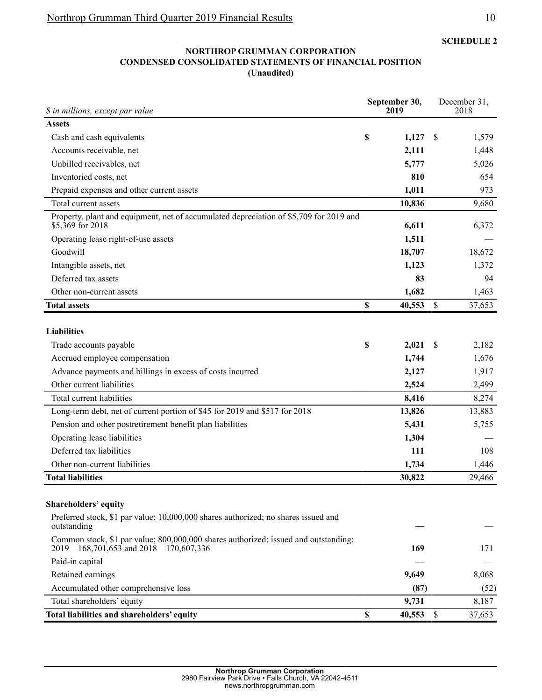**SCHEDULE 2**

#### **NORTHROP GRUMMAN CORPORATION CONDENSED CONSOLIDATED STATEMENTS OF FINANCIAL POSITION (Unaudited)**

| \$ in millions, except par value                                                                                             |             | September 30,<br>2019 | December 31,<br>2018 |        |  |  |
|------------------------------------------------------------------------------------------------------------------------------|-------------|-----------------------|----------------------|--------|--|--|
| <b>Assets</b>                                                                                                                |             |                       |                      |        |  |  |
| Cash and cash equivalents                                                                                                    | $\mathbb S$ | 1,127                 | S                    | 1,579  |  |  |
| Accounts receivable, net                                                                                                     |             | 2,111                 |                      | 1,448  |  |  |
| Unbilled receivables, net                                                                                                    |             | 5,777                 |                      | 5,026  |  |  |
| Inventoried costs, net                                                                                                       |             | 810                   |                      | 654    |  |  |
| Prepaid expenses and other current assets                                                                                    |             | 1,011                 |                      | 973    |  |  |
| Total current assets                                                                                                         |             | 10,836                |                      | 9,680  |  |  |
| Property, plant and equipment, net of accumulated depreciation of \$5,709 for 2019 and<br>$$5,369$ for 2018                  |             | 6,611                 |                      | 6,372  |  |  |
| Operating lease right-of-use assets                                                                                          |             | 1,511                 |                      |        |  |  |
| Goodwill                                                                                                                     |             | 18,707                |                      | 18,672 |  |  |
| Intangible assets, net                                                                                                       |             | 1,123                 |                      | 1,372  |  |  |
| Deferred tax assets                                                                                                          |             | 83                    |                      | 94     |  |  |
| Other non-current assets                                                                                                     |             | 1,682                 |                      | 1,463  |  |  |
| <b>Total assets</b>                                                                                                          | \$          | 40,553                | \$                   | 37,653 |  |  |
| <b>Liabilities</b>                                                                                                           |             |                       |                      |        |  |  |
| Trade accounts payable                                                                                                       | \$          | 2,021                 | <sup>\$</sup>        | 2,182  |  |  |
| Accrued employee compensation                                                                                                |             | 1,744                 |                      | 1,676  |  |  |
| Advance payments and billings in excess of costs incurred                                                                    |             | 2,127                 |                      | 1,917  |  |  |
| Other current liabilities                                                                                                    |             | 2,524                 |                      | 2,499  |  |  |
| Total current liabilities                                                                                                    |             | 8,416                 |                      | 8,274  |  |  |
| Long-term debt, net of current portion of \$45 for 2019 and \$517 for 2018                                                   |             | 13,826                |                      | 13,883 |  |  |
| Pension and other postretirement benefit plan liabilities                                                                    |             | 5,431                 |                      | 5,755  |  |  |
| Operating lease liabilities                                                                                                  |             | 1,304                 |                      |        |  |  |
| Deferred tax liabilities                                                                                                     |             | 111                   |                      | 108    |  |  |
| Other non-current liabilities                                                                                                |             | 1,734                 |                      | 1,446  |  |  |
| <b>Total liabilities</b>                                                                                                     |             | 30,822                |                      | 29,466 |  |  |
| Shareholders' equity                                                                                                         |             |                       |                      |        |  |  |
| Preferred stock, \$1 par value; 10,000,000 shares authorized; no shares issued and<br>outstanding                            |             |                       |                      |        |  |  |
| Common stock, \$1 par value; 800,000,000 shares authorized; issued and outstanding:<br>2019—168,701,653 and 2018—170,607,336 |             | 169                   |                      | 171    |  |  |
| Paid-in capital                                                                                                              |             |                       |                      |        |  |  |
| Retained earnings                                                                                                            |             | 9,649                 |                      | 8,068  |  |  |
| Accumulated other comprehensive loss                                                                                         |             | (87)                  |                      | (52)   |  |  |
| Total shareholders' equity                                                                                                   |             | 9,731                 |                      | 8,187  |  |  |
| Total liabilities and shareholders' equity                                                                                   | \$          | 40,553                | \$                   | 37,653 |  |  |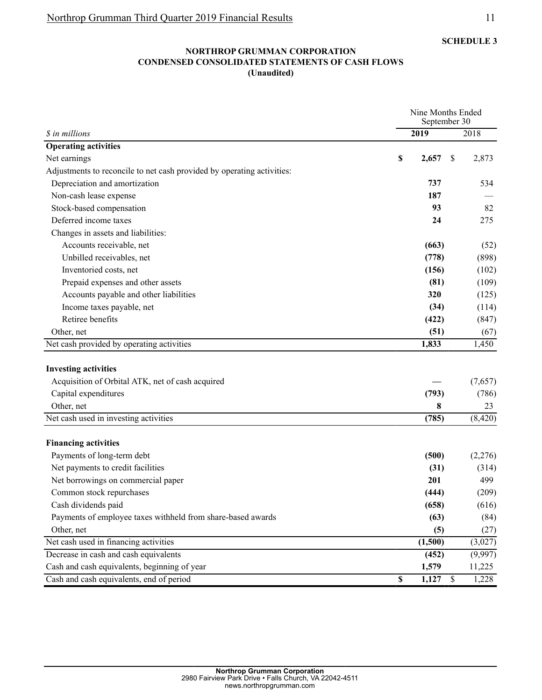#### **NORTHROP GRUMMAN CORPORATION CONDENSED CONSOLIDATED STATEMENTS OF CASH FLOWS (Unaudited)**

|                                                                        |             | Nine Months Ended<br>September 30 |  |  |
|------------------------------------------------------------------------|-------------|-----------------------------------|--|--|
| \$ in millions                                                         | 2019        | 2018                              |  |  |
| <b>Operating activities</b>                                            |             |                                   |  |  |
| Net earnings                                                           | \$<br>2,657 | 2,873<br><sup>\$</sup>            |  |  |
| Adjustments to reconcile to net cash provided by operating activities: |             |                                   |  |  |
| Depreciation and amortization                                          | 737         | 534                               |  |  |
| Non-cash lease expense                                                 | 187         |                                   |  |  |
| Stock-based compensation                                               | 93          | 82                                |  |  |
| Deferred income taxes                                                  | 24          | 275                               |  |  |
| Changes in assets and liabilities:                                     |             |                                   |  |  |
| Accounts receivable, net                                               | (663)       | (52)                              |  |  |
| Unbilled receivables, net                                              | (778)       | (898)                             |  |  |
| Inventoried costs, net                                                 | (156)       | (102)                             |  |  |
| Prepaid expenses and other assets                                      | (81)        | (109)                             |  |  |
| Accounts payable and other liabilities                                 | 320         | (125)                             |  |  |
| Income taxes payable, net                                              | (34)        | (114)                             |  |  |
| Retiree benefits                                                       | (422)       | (847)                             |  |  |
| Other, net                                                             | (51)        | (67)                              |  |  |
| Net cash provided by operating activities                              | 1,833       | 1,450                             |  |  |
|                                                                        |             |                                   |  |  |
| <b>Investing activities</b>                                            |             |                                   |  |  |
| Acquisition of Orbital ATK, net of cash acquired                       |             | (7,657)                           |  |  |
| Capital expenditures                                                   | (793)       | (786)                             |  |  |
| Other, net                                                             | 8           | 23                                |  |  |
| Net cash used in investing activities                                  | (785)       | (8, 420)                          |  |  |
|                                                                        |             |                                   |  |  |
| <b>Financing activities</b>                                            |             |                                   |  |  |
| Payments of long-term debt                                             | (500)       | (2,276)                           |  |  |
| Net payments to credit facilities                                      | (31)        | (314)                             |  |  |
| Net borrowings on commercial paper                                     | 201         | 499                               |  |  |
| Common stock repurchases                                               | (444)       | (209)                             |  |  |
| Cash dividends paid                                                    | (658)       | (616)                             |  |  |
| Payments of employee taxes withheld from share-based awards            | (63)        | (84)                              |  |  |
| Other, net                                                             | (5)         | (27)                              |  |  |
| Net cash used in financing activities                                  | (1,500)     | (3,027)                           |  |  |
| Decrease in cash and cash equivalents                                  | (452)       | (9,997)                           |  |  |
| Cash and cash equivalents, beginning of year                           | 1,579       | 11,225                            |  |  |
| Cash and cash equivalents, end of period                               | \$<br>1,127 | \$<br>1,228                       |  |  |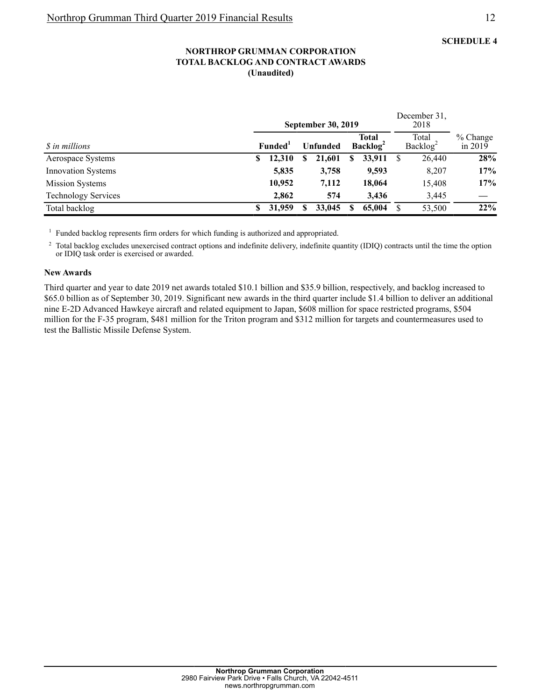#### **NORTHROP GRUMMAN CORPORATION TOTAL BACKLOG AND CONTRACT AWARDS (Unaudited)**

|                            |   |                                  |  | <b>September 30, 2019</b>                   |   | December 31,<br>2018          |  |                         |     |
|----------------------------|---|----------------------------------|--|---------------------------------------------|---|-------------------------------|--|-------------------------|-----|
| <i>S</i> in millions       |   | <b>Funded</b><br><b>Unfunded</b> |  | <b>Total</b><br><b>Backlog</b> <sup>2</sup> |   | Total<br>Backlog <sup>2</sup> |  | $%$ Change<br>in $2019$ |     |
| Aerospace Systems          | S | 12,310                           |  | 21,601                                      | S | 33,911                        |  | 26,440                  | 28% |
| <b>Innovation Systems</b>  |   | 5,835                            |  | 3,758                                       |   | 9,593                         |  | 8,207                   | 17% |
| <b>Mission Systems</b>     |   | 10,952                           |  | 7,112                                       |   | 18,064                        |  | 15,408                  | 17% |
| <b>Technology Services</b> |   | 2.862                            |  | 574                                         |   | 3.436                         |  | 3,445                   |     |
| Total backlog              |   | 31,959                           |  | 33,045                                      |   | 65,004                        |  | 53,500                  | 22% |

<sup>1</sup> Funded backlog represents firm orders for which funding is authorized and appropriated.

<sup>2</sup> Total backlog excludes unexercised contract options and indefinite delivery, indefinite quantity (IDIQ) contracts until the time the option or IDIQ task order is exercised or awarded.

#### **New Awards**

Third quarter and year to date 2019 net awards totaled \$10.1 billion and \$35.9 billion, respectively, and backlog increased to \$65.0 billion as of September 30, 2019. Significant new awards in the third quarter include \$1.4 billion to deliver an additional nine E-2D Advanced Hawkeye aircraft and related equipment to Japan, \$608 million for space restricted programs, \$504 million for the F-35 program, \$481 million for the Triton program and \$312 million for targets and countermeasures used to test the Ballistic Missile Defense System.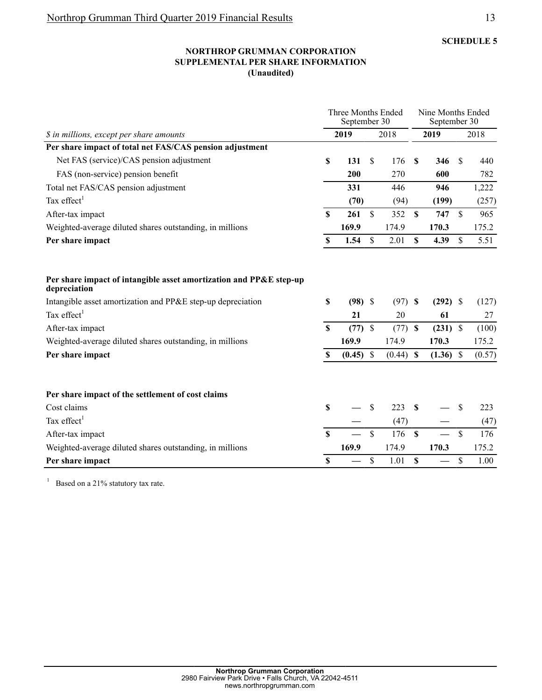#### **NORTHROP GRUMMAN CORPORATION SUPPLEMENTAL PER SHARE INFORMATION (Unaudited)**

|                                                                                    |                           | Three Months Ended<br>September 30 |                    |             |                           |             | Nine Months Ended<br>September 30 |        |
|------------------------------------------------------------------------------------|---------------------------|------------------------------------|--------------------|-------------|---------------------------|-------------|-----------------------------------|--------|
| \$ in millions, except per share amounts                                           |                           | 2019                               |                    | 2018        |                           | 2019        |                                   | 2018   |
| Per share impact of total net FAS/CAS pension adjustment                           |                           |                                    |                    |             |                           |             |                                   |        |
| Net FAS (service)/CAS pension adjustment                                           | S                         | 131                                | \$                 | 176         | S                         | 346         | \$                                | 440    |
| FAS (non-service) pension benefit                                                  |                           | 200                                |                    | 270         |                           | 600         |                                   | 782    |
| Total net FAS/CAS pension adjustment                                               |                           | 331                                |                    | 446         |                           | 946         |                                   | 1,222  |
| Tax effect <sup>1</sup>                                                            |                           | (70)                               |                    | (94)        |                           | (199)       |                                   | (257)  |
| After-tax impact                                                                   | <b>S</b>                  | 261                                | \$                 | 352         | $\boldsymbol{\mathsf{S}}$ | 747         | $\mathbf S$                       | 965    |
| Weighted-average diluted shares outstanding, in millions                           |                           | 169.9                              |                    | 174.9       |                           | 170.3       |                                   | 175.2  |
| Per share impact                                                                   | \$                        | 1.54                               | $\mathbf{\hat{S}}$ | 2.01        | $\mathbf S$               | 4.39        | \$                                | 5.51   |
| Per share impact of intangible asset amortization and PP&E step-up<br>depreciation |                           |                                    |                    |             |                           |             |                                   |        |
| Intangible asset amortization and PP&E step-up depreciation                        | S                         | $(98)$ \$                          |                    | $(97)$ \$   |                           | $(292)$ \$  |                                   | (127)  |
| Tax effect <sup>1</sup>                                                            |                           | 21                                 |                    | 20          |                           | 61          |                                   | 27     |
| After-tax impact                                                                   | <b>S</b>                  | (77)                               | $\mathbf{\$}$      | (77)        | <b>S</b>                  | $(231)$ \$  |                                   | (100)  |
| Weighted-average diluted shares outstanding, in millions                           |                           | 169.9                              |                    | 174.9       |                           | 170.3       |                                   | 175.2  |
| Per share impact                                                                   | S                         | $(0.45)$ \$                        |                    | $(0.44)$ \$ |                           | $(1.36)$ \$ |                                   | (0.57) |
| Per share impact of the settlement of cost claims                                  |                           |                                    |                    |             |                           |             |                                   |        |
| Cost claims                                                                        | S                         |                                    | S                  | 223         | S                         |             | <sup>\$</sup>                     | 223    |
| Tax effect <sup>1</sup>                                                            |                           |                                    |                    | (47)        |                           |             |                                   | (47)   |
| After-tax impact                                                                   | $\mathbf S$               |                                    | $\mathcal{S}$      | 176         | $\mathbf S$               |             | $\mathbf S$                       | 176    |
| Weighted-average diluted shares outstanding, in millions                           |                           | 169.9                              |                    | 174.9       |                           | 170.3       |                                   | 175.2  |
| Per share impact                                                                   | $\boldsymbol{\mathsf{S}}$ |                                    | \$                 | 1.01        | \$                        |             | $\mathbf S$                       | 1.00   |

1 Based on a 21% statutory tax rate.